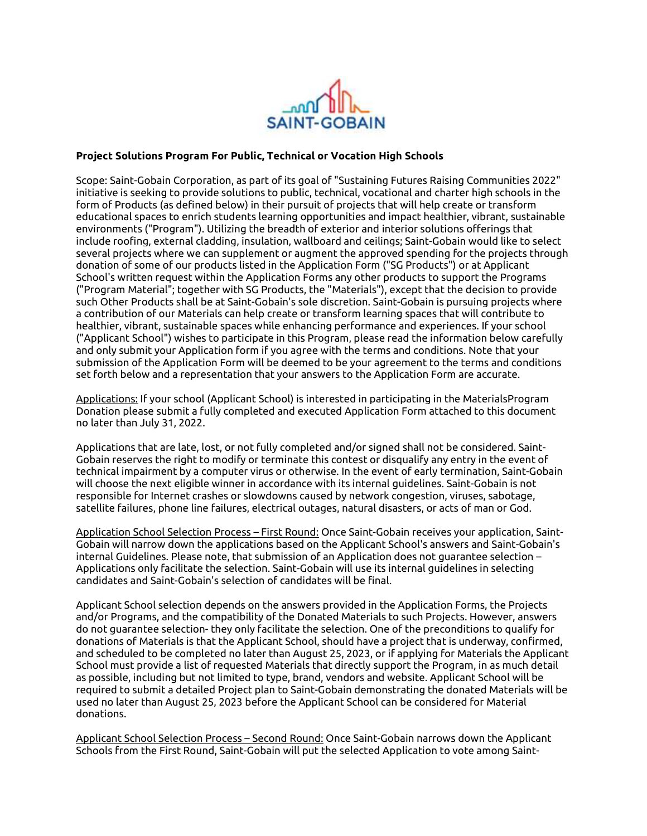

## Project Solutions Program For Public, Technical or Vocation High Schools

Scope: Saint-Gobain Corporation, as part of its goal of "Sustaining Futures Raising Communities 2022" initiative is seeking to provide solutions to public, technical, vocational and charter high schools in the form of Products (as defined below) in their pursuit of projects that will help create or transform educational spaces to enrich students learning opportunities and impact healthier, vibrant, sustainable environments ("Program"). Utilizing the breadth of exterior and interior solutions offerings that include roofing, external cladding, insulation, wallboard and ceilings; Saint-Gobain would like to select several projects where we can supplement or augment the approved spending for the projects through donation of some of our products listed in the Application Form ("SG Products") or at Applicant School's written request within the Application Forms any other products to support the Programs ("Program Material"; together with SG Products, the "Materials"), except that the decision to provide such Other Products shall be at Saint-Gobain's sole discretion. Saint-Gobain is pursuing projects where a contribution of our Materials can help create or transform learning spaces that will contribute to healthier, vibrant, sustainable spaces while enhancing performance and experiences. If your school ("Applicant School") wishes to participate in this Program, please read the information below carefully and only submit your Application form if you agree with the terms and conditions. Note that your submission of the Application Form will be deemed to be your agreement to the terms and conditions set forth below and a representation that your answers to the Application Form are accurate.

Applications: If your school (Applicant School) is interested in participating in the MaterialsProgram Donation please submit a fully completed and executed Application Form attached to this document no later than July 31, 2022.

Applications that are late, lost, or not fully completed and/or signed shall not be considered. Saint-Gobain reserves the right to modify or terminate this contest or disqualify any entry in the event of technical impairment by a computer virus or otherwise. In the event of early termination, Saint-Gobain will choose the next eligible winner in accordance with its internal guidelines. Saint-Gobain is not responsible for Internet crashes or slowdowns caused by network congestion, viruses, sabotage, satellite failures, phone line failures, electrical outages, natural disasters, or acts of man or God.

Application School Selection Process – First Round: Once Saint-Gobain receives your application, Saint-Gobain will narrow down the applications based on the Applicant School's answers and Saint-Gobain's internal Guidelines. Please note, that submission of an Application does not guarantee selection – Applications only facilitate the selection. Saint-Gobain will use its internal guidelines in selecting candidates and Saint-Gobain's selection of candidates will be final.

Applicant School selection depends on the answers provided in the Application Forms, the Projects and/or Programs, and the compatibility of the Donated Materials to such Projects. However, answers do not guarantee selection- they only facilitate the selection. One of the preconditions to qualify for donations of Materials is that the Applicant School, should have a project that is underway, confirmed, and scheduled to be completed no later than August 25, 2023, or if applying for Materials the Applicant School must provide a list of requested Materials that directly support the Program, in as much detail as possible, including but not limited to type, brand, vendors and website. Applicant School will be required to submit a detailed Project plan to Saint-Gobain demonstrating the donated Materials will be used no later than August 25, 2023 before the Applicant School can be considered for Material donations.

Applicant School Selection Process – Second Round: Once Saint-Gobain narrows down the Applicant Schools from the First Round, Saint-Gobain will put the selected Application to vote among Saint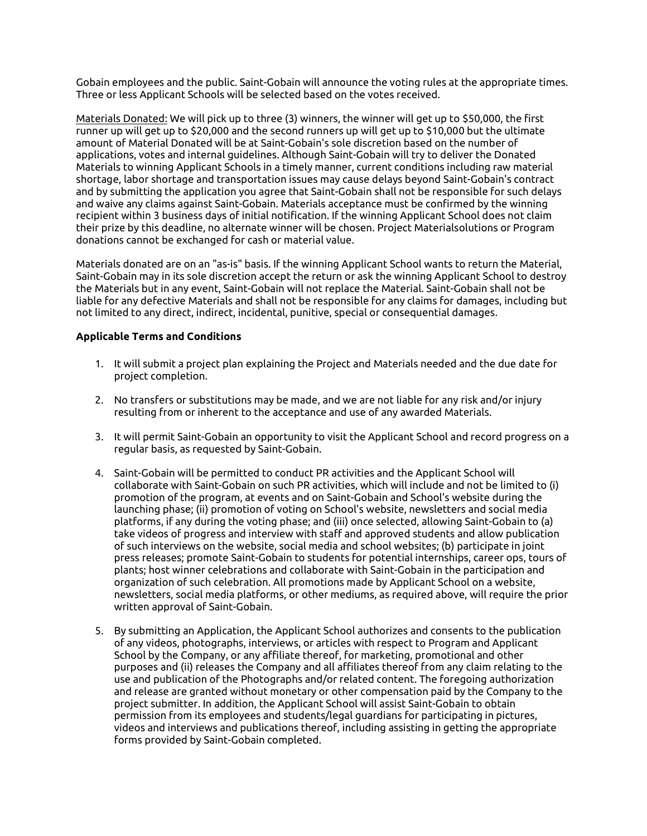Gobain employees and the public. Saint-Gobain will announce the voting rules at the appropriate times. Three or less Applicant Schools will be selected based on the votes received.

Materials Donated: We will pick up to three (3) winners, the winner will get up to \$50,000, the first runner up will get up to \$20,000 and the second runners up will get up to \$10,000 but the ultimate amount of Material Donated will be at Saint-Gobain's sole discretion based on the number of applications, votes and internal guidelines. Although Saint-Gobain will try to deliver the Donated Materials to winning Applicant Schools in a timely manner, current conditions including raw material shortage, labor shortage and transportation issues may cause delays beyond Saint-Gobain's contract and by submitting the application you agree that Saint-Gobain shall not be responsible for such delays and waive any claims against Saint-Gobain. Materials acceptance must be confirmed by the winning recipient within 3 business days of initial notification. If the winning Applicant School does not claim their prize by this deadline, no alternate winner will be chosen. Project Materialsolutions or Program donations cannot be exchanged for cash or material value.

Materials donated are on an "as-is" basis. If the winning Applicant School wants to return the Material, Saint-Gobain may in its sole discretion accept the return or ask the winning Applicant School to destroy the Materials but in any event, Saint-Gobain will not replace the Material. Saint-Gobain shall not be liable for any defective Materials and shall not be responsible for any claims for damages, including but not limited to any direct, indirect, incidental, punitive, special or consequential damages.

## Applicable Terms and Conditions

- 1. It will submit a project plan explaining the Project and Materials needed and the due date for project completion.
- 2. No transfers or substitutions may be made, and we are not liable for any risk and/or injury resulting from or inherent to the acceptance and use of any awarded Materials.
- 3. It will permit Saint-Gobain an opportunity to visit the Applicant School and record progress on a regular basis, as requested by Saint-Gobain.
- 4. Saint-Gobain will be permitted to conduct PR activities and the Applicant School will collaborate with Saint-Gobain on such PR activities, which will include and not be limited to (i) promotion of the program, at events and on Saint-Gobain and School's website during the launching phase; (ii) promotion of voting on School's website, newsletters and social media platforms, if any during the voting phase; and (iii) once selected, allowing Saint-Gobain to (a) take videos of progress and interview with staff and approved students and allow publication of such interviews on the website, social media and school websites; (b) participate in joint press releases; promote Saint-Gobain to students for potential internships, career ops, tours of plants; host winner celebrations and collaborate with Saint-Gobain in the participation and organization of such celebration. All promotions made by Applicant School on a website, newsletters, social media platforms, or other mediums, as required above, will require the prior written approval of Saint-Gobain.
- 5. By submitting an Application, the Applicant School authorizes and consents to the publication of any videos, photographs, interviews, or articles with respect to Program and Applicant School by the Company, or any affiliate thereof, for marketing, promotional and other purposes and (ii) releases the Company and all affiliates thereof from any claim relating to the use and publication of the Photographs and/or related content. The foregoing authorization and release are granted without monetary or other compensation paid by the Company to the project submitter. In addition, the Applicant School will assist Saint-Gobain to obtain permission from its employees and students/legal guardians for participating in pictures, videos and interviews and publications thereof, including assisting in getting the appropriate forms provided by Saint-Gobain completed.